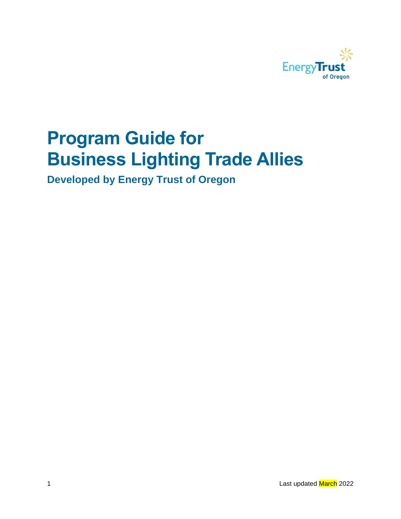

# **Program Guide for Business Lighting Trade Allies**

**Developed by Energy Trust of Oregon**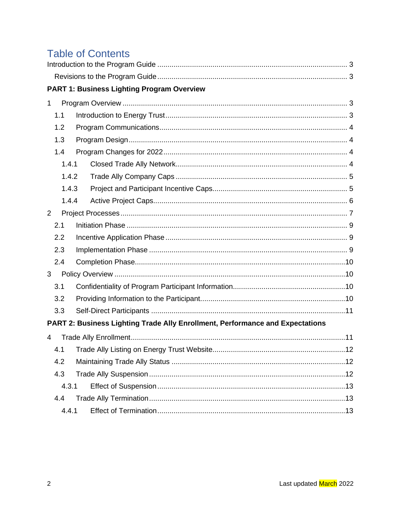## **Table of Contents**

|                | <b>PART 1: Business Lighting Program Overview</b>                             |  |
|----------------|-------------------------------------------------------------------------------|--|
| $\mathbf{1}$   |                                                                               |  |
| 1.1            |                                                                               |  |
| 1.2            |                                                                               |  |
| 1.3            |                                                                               |  |
| 1.4            |                                                                               |  |
| 1.4.1          |                                                                               |  |
| 1.4.2          |                                                                               |  |
| 1.4.3          |                                                                               |  |
| 1.4.4          |                                                                               |  |
| $\overline{2}$ |                                                                               |  |
| 2.1            |                                                                               |  |
| 2.2            |                                                                               |  |
| 2.3            |                                                                               |  |
| 2.4            |                                                                               |  |
| 3              |                                                                               |  |
| 3.1            |                                                                               |  |
| 3.2            |                                                                               |  |
| 3.3            |                                                                               |  |
|                | PART 2: Business Lighting Trade Ally Enrollment, Performance and Expectations |  |
| 4              |                                                                               |  |
| 4.1            |                                                                               |  |
| 4.2            |                                                                               |  |
| 4.3            |                                                                               |  |
| 4.3.1          |                                                                               |  |
| 4.4            |                                                                               |  |
| 4.4.1          |                                                                               |  |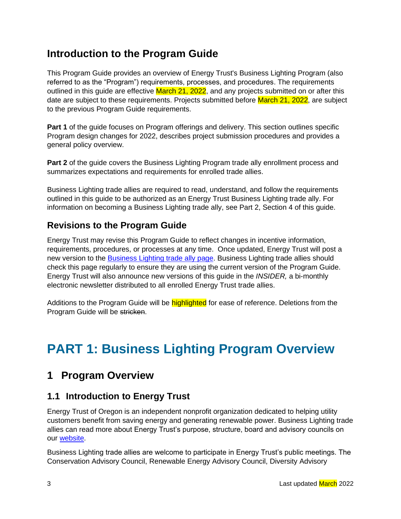## <span id="page-2-0"></span>**Introduction to the Program Guide**

This Program Guide provides an overview of Energy Trust's Business Lighting Program (also referred to as the "Program") requirements, processes, and procedures. The requirements outlined in this guide are effective March 21, 2022, and any projects submitted on or after this date are subject to these requirements. Projects submitted before March 21, 2022, are subject to the previous Program Guide requirements.

**Part 1** of the guide focuses on Program offerings and delivery. This section outlines specific Program design changes for 2022, describes project submission procedures and provides a general policy overview.

**Part 2** of the guide covers the Business Lighting Program trade ally enrollment process and summarizes expectations and requirements for enrolled trade allies.

Business Lighting trade allies are required to read, understand, and follow the requirements outlined in this guide to be authorized as an Energy Trust Business Lighting trade ally. For information on becoming a Business Lighting trade ally, see Part 2, Section 4 of this guide.

#### <span id="page-2-1"></span>**Revisions to the Program Guide**

Energy Trust may revise this Program Guide to reflect changes in incentive information, requirements, procedures, or processes at any time. Once updated, Energy Trust will post a new version to the [Business Lighting trade ally page.](https://insider.energytrust.org/programs/lighting/) Business Lighting trade allies should check this page regularly to ensure they are using the current version of the Program Guide. Energy Trust will also announce new versions of this guide in the *INSIDER,* a bi-monthly electronic newsletter distributed to all enrolled Energy Trust trade allies.

Additions to the Program Guide will be **highlighted** for ease of reference. Deletions from the Program Guide will be stricken.

## **PART 1: Business Lighting Program Overview**

## <span id="page-2-2"></span>**1 Program Overview**

#### <span id="page-2-3"></span>**1.1 Introduction to Energy Trust**

Energy Trust of Oregon is an independent nonprofit organization dedicated to helping utility customers benefit from saving energy and generating renewable power. Business Lighting trade allies can read more about Energy Trust's purpose, structure, board and advisory councils on our [website.](https://www.energytrust.org/about/explore-energy-trust/mission-approach/)

Business Lighting trade allies are welcome to participate in Energy Trust's public meetings. The Conservation Advisory Council, Renewable Energy Advisory Council, Diversity Advisory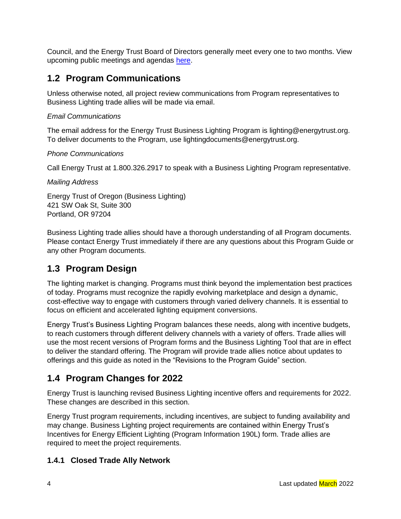Council, and the Energy Trust Board of Directors generally meet every one to two months. View upcoming public meetings and agendas [here.](https://energytrust.org/about/public-meetings/)

### <span id="page-3-0"></span>**1.2 Program Communications**

Unless otherwise noted, all project review communications from Program representatives to Business Lighting trade allies will be made via email.

#### *Email Communications*

The email address for the Energy Trust Business Lighting Program is [lighting@energytrust.org.](mailto:lighting@energytrust.org) To deliver documents to the Program, use lightingdocuments@energytrust.org.

#### *Phone Communications*

Call Energy Trust at 1.800.326.2917 to speak with a Business Lighting Program representative.

#### *Mailing Address*

Energy Trust of Oregon (Business Lighting) 421 SW Oak St, Suite 300 Portland, OR 97204

Business Lighting trade allies should have a thorough understanding of all Program documents. Please contact Energy Trust immediately if there are any questions about this Program Guide or any other Program documents.

#### <span id="page-3-1"></span>**1.3 Program Design**

The lighting market is changing. Programs must think beyond the implementation best practices of today. Programs must recognize the rapidly evolving marketplace and design a dynamic, cost-effective way to engage with customers through varied delivery channels. It is essential to focus on efficient and accelerated lighting equipment conversions.

Energy Trust's Business Lighting Program balances these needs, along with incentive budgets, to reach customers through different delivery channels with a variety of offers. Trade allies will use the most recent versions of Program forms and the Business Lighting Tool that are in effect to deliver the standard offering. The Program will provide trade allies notice about updates to offerings and this guide as noted in the "Revisions to the Program Guide" section.

### <span id="page-3-2"></span>**1.4 Program Changes for 2022**

Energy Trust is launching revised Business Lighting incentive offers and requirements for 2022. These changes are described in this section.

Energy Trust program requirements, including incentives, are subject to funding availability and may change. Business Lighting project requirements are contained within Energy Trust's Incentives for Energy Efficient Lighting (Program Information 190L) form. Trade allies are required to meet the project requirements.

#### <span id="page-3-3"></span>**1.4.1 Closed Trade Ally Network**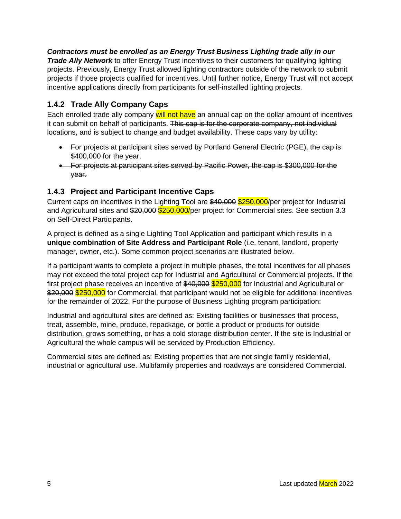#### *Contractors must be enrolled as an Energy Trust Business Lighting trade ally in our*

*Trade Ally Network* to offer Energy Trust incentives to their customers for qualifying lighting projects. Previously, Energy Trust allowed lighting contractors outside of the network to submit projects if those projects qualified for incentives. Until further notice, Energy Trust will not accept incentive applications directly from participants for self-installed lighting projects.

#### <span id="page-4-0"></span>**1.4.2 Trade Ally Company Caps**

Each enrolled trade ally company will not have an annual cap on the dollar amount of incentives it can submit on behalf of participants. This cap is for the corporate company, not individual locations, and is subject to change and budget availability. These caps vary by utility:

- For projects at participant sites served by Portland General Electric (PGE), the cap is \$400,000 for the year.
- For projects at participant sites served by Pacific Power, the cap is \$300,000 for the year.

#### <span id="page-4-1"></span>**1.4.3 Project and Participant Incentive Caps**

Current caps on incentives in the Lighting Tool are \$40,000 \$250,000/per project for Industrial and Agricultural sites and \$20,000 \$250,000/per project for Commercial sites. See section 3.3 on Self-Direct Participants.

A project is defined as a single Lighting Tool Application and participant which results in a **unique combination of Site Address and Participant Role** (i.e. tenant, landlord, property manager, owner, etc.). Some common project scenarios are illustrated below.

If a participant wants to complete a project in multiple phases, the total incentives for all phases may not exceed the total project cap for Industrial and Agricultural or Commercial projects. If the first project phase receives an incentive of \$40,000 \$250,000 for Industrial and Agricultural or \$20,000 \$250,000 for Commercial, that participant would not be eligible for additional incentives for the remainder of 2022. For the purpose of Business Lighting program participation:

Industrial and agricultural sites are defined as: Existing facilities or businesses that process, treat, assemble, mine, produce, repackage, or bottle a product or products for outside distribution, grows something, or has a cold storage distribution center. If the site is Industrial or Agricultural the whole campus will be serviced by Production Efficiency.

Commercial sites are defined as: Existing properties that are not single family residential, industrial or agricultural use. Multifamily properties and roadways are considered Commercial.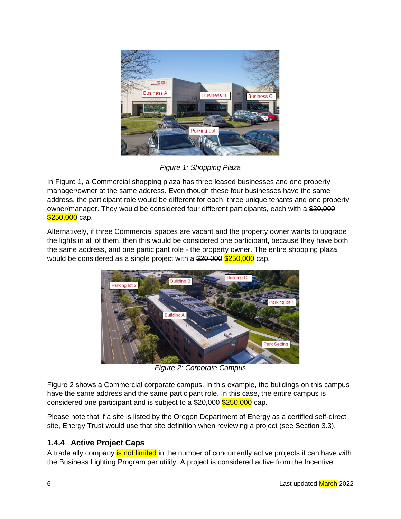

*Figure 1: Shopping Plaza* 

In Figure 1, a Commercial shopping plaza has three leased businesses and one property manager/owner at the same address. Even though these four businesses have the same address, the participant role would be different for each; three unique tenants and one property owner/manager. They would be considered four different participants, each with a \$20,000 \$250,000 cap.

Alternatively, if three Commercial spaces are vacant and the property owner wants to upgrade the lights in all of them, then this would be considered one participant, because they have both the same address, and one participant role - the property owner. The entire shopping plaza would be considered as a single project with a  $20,000$  \$250,000 cap.



*Figure 2: Corporate Campus*

Figure 2 shows a Commercial corporate campus. In this example, the buildings on this campus have the same address and the same participant role. In this case, the entire campus is considered one participant and is subject to a  $20,000$   $250,000$  cap.

Please note that if a site is listed by the Oregon Department of Energy as a certified self-direct site, Energy Trust would use that site definition when reviewing a project (see Section 3.3).

#### <span id="page-5-0"></span>**1.4.4 Active Project Caps**

A trade ally company is not limited in the number of concurrently active projects it can have with the Business Lighting Program per utility. A project is considered active from the Incentive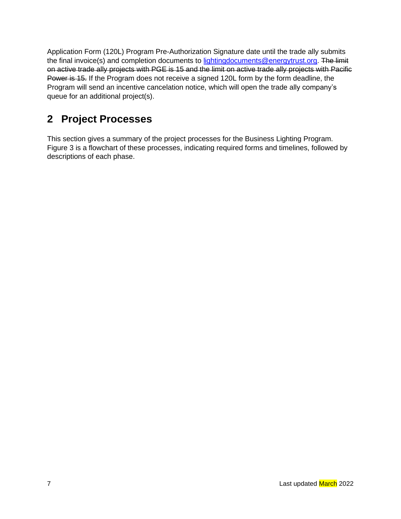Application Form (120L) Program Pre-Authorization Signature date until the trade ally submits the final invoice(s) and completion documents to [lightingdocuments@energytrust.org.](mailto:lightingdocuments@energytrust.org) The limit on active trade ally projects with PGE is 15 and the limit on active trade ally projects with Pacific Power is 15. If the Program does not receive a signed 120L form by the form deadline, the Program will send an incentive cancelation notice, which will open the trade ally company's queue for an additional project(s).

## <span id="page-6-0"></span>**2 Project Processes**

This section gives a summary of the project processes for the Business Lighting Program. Figure 3 is a flowchart of these processes, indicating required forms and timelines, followed by descriptions of each phase.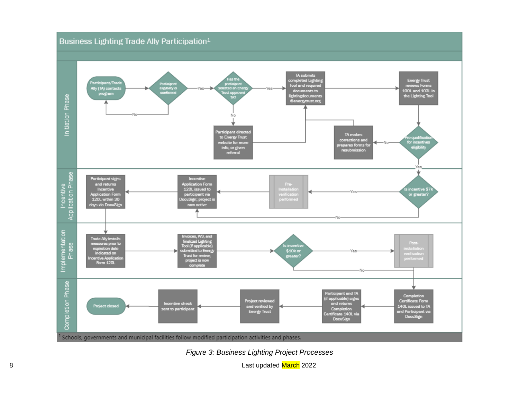



8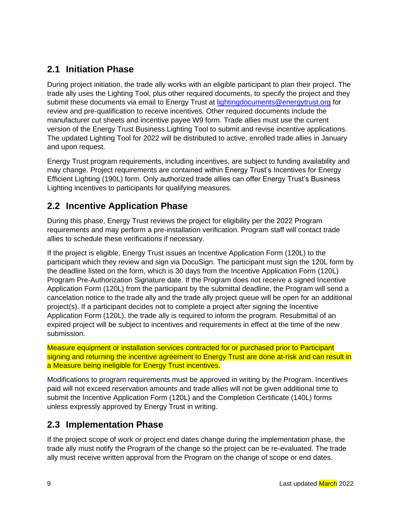#### <span id="page-8-0"></span>**2.1 Initiation Phase**

During project initiation, the trade ally works with an eligible participant to plan their project. The trade ally uses the Lighting Tool, plus other required documents, to specify the project and they submit these documents via email to Energy Trust at [lightingdocuments@energytrust.org](mailto:lightingdocuments@energytrust.org) for review and pre-qualification to receive incentives. Other required documents include the manufacturer cut sheets and incentive payee W9 form. Trade allies must use the current version of the Energy Trust Business Lighting Tool to submit and revise incentive applications. The updated Lighting Tool for 2022 will be distributed to active, enrolled trade allies in January and upon request.

Energy Trust program requirements, including incentives, are subject to funding availability and may change. Project requirements are contained within Energy Trust's Incentives for Energy Efficient Lighting (190L) form. Only authorized trade allies can offer Energy Trust's Business Lighting incentives to participants for qualifying measures.

#### <span id="page-8-1"></span>**2.2 Incentive Application Phase**

During this phase, Energy Trust reviews the project for eligibility per the 2022 Program requirements and may perform a pre-installation verification. Program staff will contact trade allies to schedule these verifications if necessary.

If the project is eligible, Energy Trust issues an Incentive Application Form (120L) to the participant which they review and sign via DocuSign. The participant must sign the 120L form by the deadline listed on the form, which is 30 days from the Incentive Application Form (120L) Program Pre-Authorization Signature date. If the Program does not receive a signed Incentive Application Form (120L) from the participant by the submittal deadline, the Program will send a cancelation notice to the trade ally and the trade ally project queue will be open for an additional project(s). If a participant decides not to complete a project after signing the Incentive Application Form (120L), the trade ally is required to inform the program. Resubmittal of an expired project will be subject to incentives and requirements in effect at the time of the new submission.

Measure equipment or installation services contracted for or purchased prior to Participant signing and returning the incentive agreement to Energy Trust are done at-risk and can result in a Measure being ineligible for Energy Trust incentives.

Modifications to program requirements must be approved in writing by the Program. Incentives paid will not exceed reservation amounts and trade allies will not be given additional time to submit the Incentive Application Form (120L) and the Completion Certificate (140L) forms unless expressly approved by Energy Trust in writing.

#### <span id="page-8-2"></span>**2.3 Implementation Phase**

If the project scope of work or project end dates change during the implementation phase, the trade ally must notify the Program of the change so the project can be re-evaluated. The trade ally must receive written approval from the Program on the change of scope or end dates.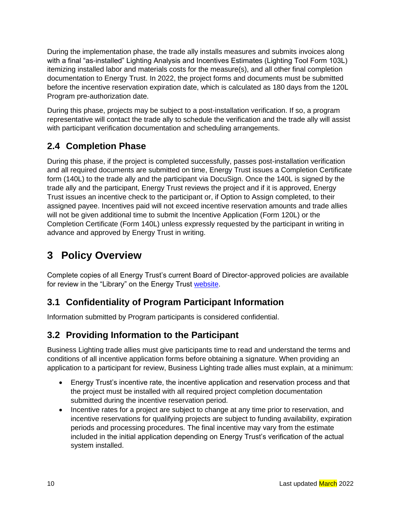During the implementation phase, the trade ally installs measures and submits invoices along with a final "as-installed" Lighting Analysis and Incentives Estimates (Lighting Tool Form 103L) itemizing installed labor and materials costs for the measure(s), and all other final completion documentation to Energy Trust. In 2022, the project forms and documents must be submitted before the incentive reservation expiration date, which is calculated as 180 days from the 120L Program pre-authorization date.

During this phase, projects may be subject to a post-installation verification. If so, a program representative will contact the trade ally to schedule the verification and the trade ally will assist with participant verification documentation and scheduling arrangements.

#### <span id="page-9-0"></span>**2.4 Completion Phase**

During this phase, if the project is completed successfully, passes post-installation verification and all required documents are submitted on time, Energy Trust issues a Completion Certificate form (140L) to the trade ally and the participant via DocuSign. Once the 140L is signed by the trade ally and the participant, Energy Trust reviews the project and if it is approved, Energy Trust issues an incentive check to the participant or, if Option to Assign completed, to their assigned payee. Incentives paid will not exceed incentive reservation amounts and trade allies will not be given additional time to submit the Incentive Application (Form 120L) or the Completion Certificate (Form 140L) unless expressly requested by the participant in writing in advance and approved by Energy Trust in writing.

## <span id="page-9-1"></span>**3 Policy Overview**

Complete copies of all Energy Trust's current Board of Director-approved policies are available for review in the "Library" on the Energy Trust [website.](https://www.energytrust.org/about/reports-financials/documents/)

#### <span id="page-9-2"></span>**3.1 Confidentiality of Program Participant Information**

Information submitted by Program participants is considered confidential.

#### <span id="page-9-3"></span>**3.2 Providing Information to the Participant**

Business Lighting trade allies must give participants time to read and understand the terms and conditions of all incentive application forms before obtaining a signature. When providing an application to a participant for review, Business Lighting trade allies must explain, at a minimum:

- Energy Trust's incentive rate, the incentive application and reservation process and that the project must be installed with all required project completion documentation submitted during the incentive reservation period.
- Incentive rates for a project are subject to change at any time prior to reservation, and incentive reservations for qualifying projects are subject to funding availability, expiration periods and processing procedures. The final incentive may vary from the estimate included in the initial application depending on Energy Trust's verification of the actual system installed.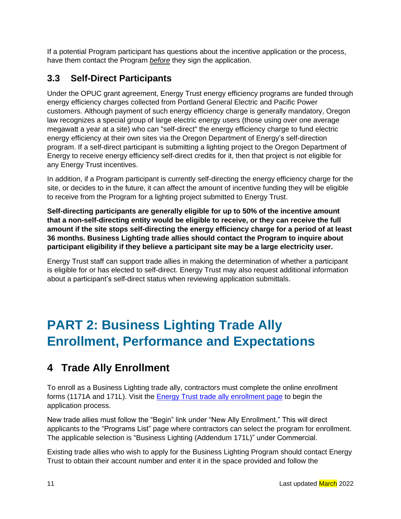If a potential Program participant has questions about the incentive application or the process, have them contact the Program *before* they sign the application.

### <span id="page-10-0"></span>**3.3 Self-Direct Participants**

Under the OPUC grant agreement, Energy Trust energy efficiency programs are funded through energy efficiency charges collected from Portland General Electric and Pacific Power customers. Although payment of such energy efficiency charge is generally mandatory, Oregon law recognizes a special group of large electric energy users (those using over one average megawatt a year at a site) who can "self-direct" the energy efficiency charge to fund electric energy efficiency at their own sites via the Oregon Department of Energy's self-direction program. If a self-direct participant is submitting a lighting project to the Oregon Department of Energy to receive energy efficiency self-direct credits for it, then that project is not eligible for any Energy Trust incentives.

In addition, if a Program participant is currently self-directing the energy efficiency charge for the site, or decides to in the future, it can affect the amount of incentive funding they will be eligible to receive from the Program for a lighting project submitted to Energy Trust.

**Self-directing participants are generally eligible for up to 50% of the incentive amount that a non-self-directing entity would be eligible to receive, or they can receive the full amount if the site stops self-directing the energy efficiency charge for a period of at least 36 months. Business Lighting trade allies should contact the Program to inquire about participant eligibility if they believe a participant site may be a large electricity user.**

Energy Trust staff can support trade allies in making the determination of whether a participant is eligible for or has elected to self-direct. Energy Trust may also request additional information about a participant's self-direct status when reviewing application submittals.

## **PART 2: Business Lighting Trade Ally Enrollment, Performance and Expectations**

## <span id="page-10-1"></span>**4 Trade Ally Enrollment**

To enroll as a Business Lighting trade ally, contractors must complete the online enrollment forms (1171A and 171L). Visit the **Energy Trust trade ally enrollment page to begin the** application process.

New trade allies must follow the "Begin" link under "New Ally Enrollment." This will direct applicants to the "Programs List" page where contractors can select the program for enrollment. The applicable selection is "Business Lighting (Addendum 171L)" under Commercial.

Existing trade allies who wish to apply for the Business Lighting Program should contact Energy Trust to obtain their account number and enter it in the space provided and follow the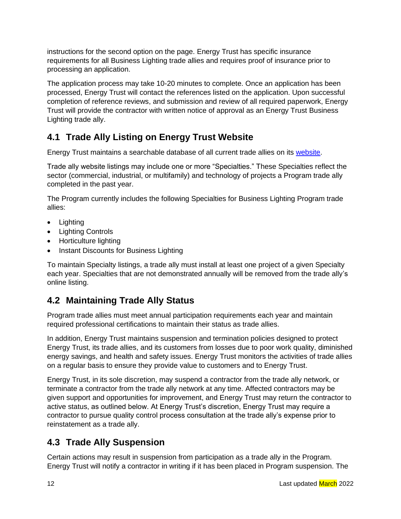instructions for the second option on the page. Energy Trust has specific insurance requirements for all Business Lighting trade allies and requires proof of insurance prior to processing an application.

The application process may take 10-20 minutes to complete. Once an application has been processed, Energy Trust will contact the references listed on the application. Upon successful completion of reference reviews, and submission and review of all required paperwork, Energy Trust will provide the contractor with written notice of approval as an Energy Trust Business Lighting trade ally.

## <span id="page-11-0"></span>**4.1 Trade Ally Listing on Energy Trust Website**

Energy Trust maintains a searchable database of all current trade allies on its [website.](https://www.energytrust.org/find-a-contractor/)

Trade ally website listings may include one or more "Specialties." These Specialties reflect the sector (commercial, industrial, or multifamily) and technology of projects a Program trade ally completed in the past year.

The Program currently includes the following Specialties for Business Lighting Program trade allies:

- Lighting
- Lighting Controls
- Horticulture lighting
- Instant Discounts for Business Lighting

To maintain Specialty listings, a trade ally must install at least one project of a given Specialty each year. Specialties that are not demonstrated annually will be removed from the trade ally's online listing.

## <span id="page-11-1"></span>**4.2 Maintaining Trade Ally Status**

Program trade allies must meet annual participation requirements each year and maintain required professional certifications to maintain their status as trade allies.

In addition, Energy Trust maintains suspension and termination policies designed to protect Energy Trust, its trade allies, and its customers from losses due to poor work quality, diminished energy savings, and health and safety issues. Energy Trust monitors the activities of trade allies on a regular basis to ensure they provide value to customers and to Energy Trust.

Energy Trust, in its sole discretion, may suspend a contractor from the trade ally network, or terminate a contractor from the trade ally network at any time. Affected contractors may be given support and opportunities for improvement, and Energy Trust may return the contractor to active status, as outlined below. At Energy Trust's discretion, Energy Trust may require a contractor to pursue quality control process consultation at the trade ally's expense prior to reinstatement as a trade ally.

## <span id="page-11-2"></span>**4.3 Trade Ally Suspension**

Certain actions may result in suspension from participation as a trade ally in the Program. Energy Trust will notify a contractor in writing if it has been placed in Program suspension. The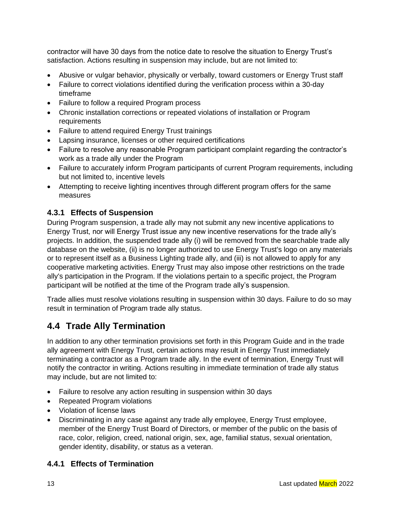contractor will have 30 days from the notice date to resolve the situation to Energy Trust's satisfaction. Actions resulting in suspension may include, but are not limited to:

- Abusive or vulgar behavior, physically or verbally, toward customers or Energy Trust staff
- Failure to correct violations identified during the verification process within a 30-day timeframe
- Failure to follow a required Program process
- Chronic installation corrections or repeated violations of installation or Program **requirements**
- Failure to attend required Energy Trust trainings
- Lapsing insurance, licenses or other required certifications
- Failure to resolve any reasonable Program participant complaint regarding the contractor's work as a trade ally under the Program
- Failure to accurately inform Program participants of current Program requirements, including but not limited to, incentive levels
- Attempting to receive lighting incentives through different program offers for the same measures

#### <span id="page-12-0"></span>**4.3.1 Effects of Suspension**

During Program suspension, a trade ally may not submit any new incentive applications to Energy Trust, nor will Energy Trust issue any new incentive reservations for the trade ally's projects. In addition, the suspended trade ally (i) will be removed from the searchable trade ally database on the website, (ii) is no longer authorized to use Energy Trust's logo on any materials or to represent itself as a Business Lighting trade ally, and (iii) is not allowed to apply for any cooperative marketing activities. Energy Trust may also impose other restrictions on the trade ally's participation in the Program. If the violations pertain to a specific project, the Program participant will be notified at the time of the Program trade ally's suspension.

Trade allies must resolve violations resulting in suspension within 30 days. Failure to do so may result in termination of Program trade ally status.

#### <span id="page-12-1"></span>**4.4 Trade Ally Termination**

In addition to any other termination provisions set forth in this Program Guide and in the trade ally agreement with Energy Trust, certain actions may result in Energy Trust immediately terminating a contractor as a Program trade ally. In the event of termination, Energy Trust will notify the contractor in writing. Actions resulting in immediate termination of trade ally status may include, but are not limited to:

- Failure to resolve any action resulting in suspension within 30 days
- Repeated Program violations
- Violation of license laws
- Discriminating in any case against any trade ally employee, Energy Trust employee, member of the Energy Trust Board of Directors, or member of the public on the basis of race, color, religion, creed, national origin, sex, age, familial status, sexual orientation, gender identity, disability, or status as a veteran.

#### <span id="page-12-2"></span>**4.4.1 Effects of Termination**